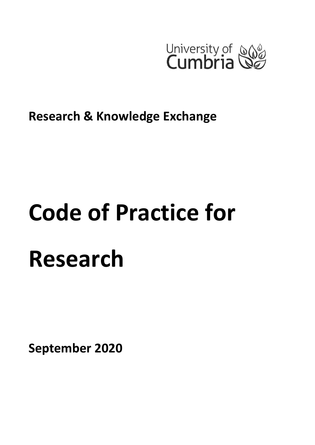

**Research & Knowledge Exchange**

# **Code of Practice for Research**

**September 2020**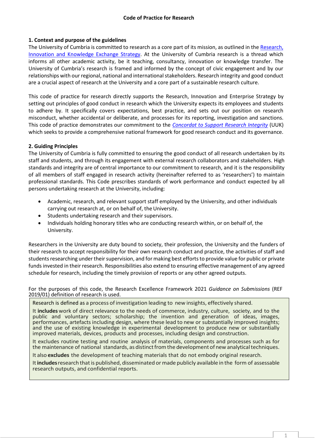# **1. Context and purpose of the guidelines**

The University of Cumbria is committed to research as a core part of its mission, as outlined in the Research, [Innovation and Knowledge Exchange](https://www.cumbria.ac.uk/media/university-of-cumbria-website/content-assets/public/researchoffice/documents/ResearchStrategy.pdf) Strategy. At the University of Cumbria research is a thread which informs all other academic activity, be it teaching, consultancy, innovation or knowledge transfer. The University of Cumbria's research is framed and informed by the concept of civic engagement and by our relationships with our regional, national and international stakeholders. Research integrity and good conduct are a crucial aspect of research at the University and a core part of a sustainable research culture.

This code of practice for research directly supports the Research, Innovation and Enterprise Strategy by setting out principles of good conduct in research which the University expects its employees and students to adhere by. It specifically covers expectations, best practice, and sets out our position on research misconduct, whether accidental or deliberate, and processes for its reporting, investigation and sanctions. This code of practice demonstrates our commitment to the *[Concordat to Support Research Integrity](https://www.universitiesuk.ac.uk/policy-and-analysis/reports/Documents/2019/the-concordat-to-support-research-integrity.pdf)* (UUK) which seeks to provide a comprehensive national framework for good research conduct and its governance.

# **2. Guiding Principles**

The University of Cumbria is fully committed to ensuring the good conduct of all research undertaken by its staff and students, and through its engagement with external research collaborators and stakeholders. High standards and integrity are of central importance to our commitment to research, and it is the responsibility of all members of staff engaged in research activity (hereinafter referred to as 'researchers') to maintain professional standards. This Code prescribes standards of work performance and conduct expected by all persons undertaking research at the University, including:

- Academic, research, and relevant support staff employed by the University, and other individuals carrying out research at, or on behalf of, the University.
- Students undertaking research and their supervisors.
- Individuals holding honorary titles who are conducting research within, or on behalf of, the University.

Researchers in the University are duty bound to society, their profession, the University and the funders of their research to accept responsibility for their own research conduct and practice, the activities of staff and students researching under their supervision, and for making best efforts to provide value for public or private funds invested in their research. Responsibilities also extend to ensuring effective management of any agreed schedule for research, including the timely provision of reports or any other agreed outputs.

For the purposes of this code, the Research Excellence Framework 2021 *Guidance on Submissions* (REF 2019/01) definition of research is used.

Research is defined as a process of investigation leading to new insights, effectively shared.

It **includes** work of direct relevance to the needs of commerce, industry, culture, society, and to the public and voluntary sectors; scholarship; the invention and generation of ideas, images, performances, artefacts including design, where these lead to new or substantially improved insights; and the use of existing knowledge in experimental development to produce new or substantially improved materials, devices, products and processes, including design and construction.

It excludes routine testing and routine analysis of materials, components and processes such as for the maintenance of national standards, as distinct from the development of new analytical techniques.

It also **excludes** the development of teaching materials that do not embody original research.

It**includes**research thatis published, disseminated ormade publicly available in the form of assessable research outputs, and confidential reports.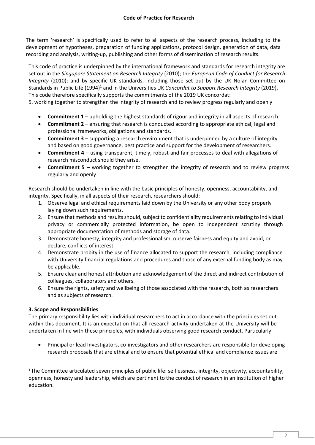The term 'research' is specifically used to refer to all aspects of the research process, including to the development of hypotheses, preparation of funding applications, protocol design, generation of data, data recording and analysis, writing-up, publishing and other forms of dissemination of research results.

This code of practice is underpinned by the international framework and standards for research integrity are set out in the *Singapore Statement on Research Integrity* (2010); the *European Code of Conduct for Research Integrity* (2010); and by specific UK standards, including those set out by the UK Nolan Committee on Standards in Public Life (1994)<sup>1</sup> and in the Universities UK *Concordat to Support Research Integrity* (2019). This code therefore specifically supports the commitments of the 2019 UK concordat:

5. working together to strengthen the integrity of research and to review progress regularly and openly

- **Commitment 1**  upholding the highest standards of rigour and integrity in all aspects of research
- **Commitment 2**  ensuring that research is conducted according to appropriate ethical, legal and professional frameworks, obligations and standards.
- **Commitment 3**  supporting a research environment that is underpinned by a culture of integrity and based on good governance, best practice and support for the development of researchers.
- **Commitment 4**  using transparent, timely, robust and fair processes to deal with allegations of research misconduct should they arise.
- **Commitment 5**  working together to strengthen the integrity of research and to review progress regularly and openly

Research should be undertaken in line with the basic principles of honesty, openness, accountability, and integrity. Specifically, in all aspects of their research, researchers should:

- 1. Observe legal and ethical requirements laid down by the University or any other body properly laying down such requirements.
- 2. Ensure that methods and results should, subject to confidentiality requirements relating to individual privacy or commercially protected information, be open to independent scrutiny through appropriate documentation of methods and storage of data.
- 3. Demonstrate honesty, integrity and professionalism, observe fairness and equity and avoid, or declare, conflicts of interest.
- 4. Demonstrate probity in the use of finance allocated to support the research, including compliance with University financial regulations and procedures and those of any external funding body as may be applicable.
- 5. Ensure clear and honest attribution and acknowledgement of the direct and indirect contribution of colleagues, collaborators and others.
- 6. Ensure the rights, safety and wellbeing of those associated with the research, both as researchers and as subjects of research.

# **3. Scope and Responsibilities**

The primary responsibility lies with individual researchers to act in accordance with the principles set out within this document. It is an expectation that all research activity undertaken at the University will be undertaken in line with these principles, with individuals observing good research conduct. Particularly:

 Principal or lead Investigators, co-investigators and other researchers are responsible for developing research proposals that are ethical and to ensure that potential ethical and compliance issues are

<sup>&</sup>lt;sup>1</sup>The Committee articulated seven principles of public life: selflessness, integrity, objectivity, accountability, openness, honesty and leadership, which are pertinent to the conduct of research in an institution of higher education.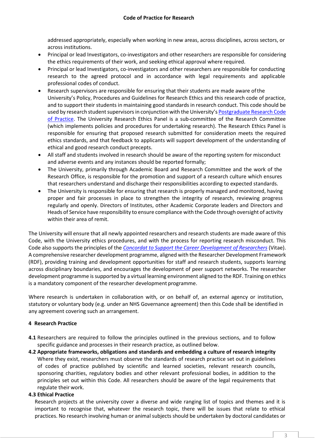addressed appropriately, especially when working in new areas, across disciplines, across sectors, or across institutions.

- Principal or lead Investigators, co-investigators and other researchers are responsible for considering the ethics requirements of their work, and seeking ethical approval where required.
- Principal or lead Investigators, co-investigators and other researchers are responsible for conducting research to the agreed protocol and in accordance with legal requirements and applicable professional codes of conduct.
- Research supervisors are responsible for ensuring that their students are made aware ofthe University's Policy, Procedures and Guidelines for Research Ethics and this research code of practice, and to support their students in maintaining good standards in research conduct. This code should be used by research student supervisors in conjunction with the University's [Postgraduate Research Code](https://www.cumbria.ac.uk/media/university-of-cumbria-website/content-assets/public/graduateschool/documents/PGResearchCodeofPractice.pdf)  [of Practice.](https://www.cumbria.ac.uk/media/university-of-cumbria-website/content-assets/public/graduateschool/documents/PGResearchCodeofPractice.pdf) The University Research Ethics Panel is a sub-committee of the Research Committee (which implements policies and procedures for undertaking research). The Research Ethics Panel is responsible for ensuring that proposed research submitted for consideration meets the required ethics standards, and that feedback to applicants will support development of the understanding of ethical and good research conduct precepts.
- All staff and students involved in research should be aware of the reporting system for misconduct and adverse events and any instances should be reported formally;
- The University, primarily through Academic Board and Research Committee and the work of the Research Office, is responsible for the promotion and support of a research culture which ensures that researchers understand and discharge their responsibilities according to expected standards.
- The University is responsible for ensuring that research is properly managed and monitored, having proper and fair processes in place to strengthen the integrity of research, reviewing progress regularly and openly. Directors of Institutes, other Academic Corporate leaders and Directors and Heads of Service have responsibility to ensure compliance with the Code through oversight of activity within their area of remit.

The University will ensure that all newly appointed researchers and research students are made aware of this Code, with the University ethics procedures, and with the process for reporting research misconduct. This Code also supports the principles of the *[Concordat to Support the Career Development of Researchers](https://www.vitae.ac.uk/policy/concordat)* (Vitae). A comprehensive researcher development programme, aligned with the Researcher Development Framework (RDF), providing training and development opportunities for staff and research students, supports learning across disciplinary boundaries, and encourages the development of peer support networks. The researcher development programme is supported by a virtual learning environment aligned to the RDF. Training on ethics is a mandatory component of the researcher development programme.

Where research is undertaken in collaboration with, or on behalf of, an external agency or institution, statutory or voluntary body (e.g. under an NHS Governance agreement) then this Code shall be identified in any agreement covering such an arrangement.

# **4 Research Practice**

- **4.1** Researchers are required to follow the principles outlined in the previous sections, and to follow specific guidance and processes in their research practice, as outlined below.
- **4.2 Appropriate frameworks, obligations and standards and embedding a culture of research integrity**  Where they exist, researchers must observe the standards of research practice set out in guidelines of codes of practice published by scientific and learned societies, relevant research councils, sponsoring charities, regulatory bodies and other relevant professional bodies, in addition to the principles set out within this Code. All researchers should be aware of the legal requirements that regulate their work.

# **4.3 Ethical Practice**

Research projects at the university cover a diverse and wide ranging list of topics and themes and it is important to recognise that, whatever the research topic, there will be issues that relate to ethical practices. No research involving human or animal subjects should be undertaken by doctoral candidates or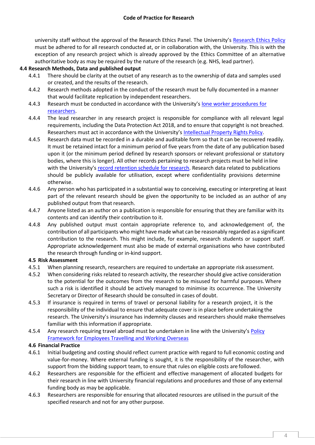university staff without the approval of the Research Ethics Panel. The University's [Research Ethics Policy](https://www.cumbria.ac.uk/media/university-of-cumbria-website/content-assets/public/researchoffice/documents/EthicsPolicy.pdf) must be adhered to for all research conducted at, or in collaboration with, the University. This is with the exception of any research project which is already approved by the Ethics Committee of an alternative authoritative body as may be required by the nature of the research (e.g. NHS, lead partner).

# **4.4 Research Methods, Data and published output**

- 4.4.1 There should be clarity at the outset of any research as to the ownership of data and samples used or created, and the results of the research.
- 4.4.2 Research methods adopted in the conduct of the research must be fully documented in a manner that would facilitate replication by independent researchers.
- 4.4.3 Research must be conducted in accordance with the University's [lone worker procedures for](http://www.cumbria.ac.uk/media/university-of-cumbria-website/content-assets/public/researchoffice/documents/Lone-Worker-Procedures-for-Researchers.pdf) [researchers.](http://www.cumbria.ac.uk/media/university-of-cumbria-website/content-assets/public/researchoffice/documents/Lone-Worker-Procedures-for-Researchers-2015-v2.pdf)
- 4.4.4 The lead researcher in any research project is responsible for compliance with all relevant legal requirements, including the Data Protection Act 2018, and to ensure that copyright is not breached. Researchers must act in accordance with the University's [Intellectual Property Rights](https://my.cumbria.ac.uk/media/MyCumbria/Documents/IPRpolicy-1.pdf) Policy.
- 4.4.5 Research data must be recorded in a durable and auditable form so that it can be recovered readily. It must be retained intact for a minimum period of five years from the date of any publication based upon it (or the minimum period defined by research sponsors or relevant professional or statutory bodies, where this is longer). All other records pertaining to research projects must be held in line with the University's [record retention schedule for research.](http://www.cumbria.ac.uk/about/organisation/professional-services/vice-chancellors-office/records/) Research data related to publications should be publicly available for utilisation, except where confidentiality provisions determine otherwise.
- 4.4.6 Any person who has participated in a substantial way to conceiving, executing or interpreting at least part of the relevant research should be given the opportunity to be included as an author of any published output from that research.
- 4.4.7 Anyone listed as an author on a publication is responsible for ensuring that they are familiar with its contents and can identify their contribution to it.
- 4.4.8 Any published output must contain appropriate reference to, and acknowledgement of, the contribution of all participants who might have made what can be reasonably regarded as a significant contribution to the research. This might include, for example, research students or support staff. Appropriate acknowledgement must also be made of external organisations who have contributed the research through funding or in-kind support.

# **4.5 Risk Assessment**

- 4.5.1 When planning research, researchers are required to undertake an appropriate risk assessment.
- 4.5.2 When considering risks related to research activity, the researcher should give active consideration to the potential for the outcomes from the research to be misused for harmful purposes. Where such a risk is identified it should be actively managed to minimise its occurrence. The University Secretary or Director of Research should be consulted in cases of doubt.
- 4.5.3 If insurance is required in terms of travel or personal liability for a research project, it is the responsibility of the individual to ensure that adequate cover is in place before undertaking the research. The University's insurance has indemnity clauses and researchers should make themselves familiar with this information if appropriate.
- 4.5.4 Any research requiring travel abroad must be undertaken in line with the University's [Policy](https://unicumbriaac.sharepoint.com/sites/CL/CorporateLibrary/Employees%20Travelling%20and%20Working%20Overseas%20Policy.pdf)  [Framework for Employees Travelling and Working Overseas](https://unicumbriaac.sharepoint.com/sites/CL/CorporateLibrary/Employees%20Travelling%20and%20Working%20Overseas%20Policy.pdf)

# **4.6 Financial Practice**

- 4.6.1 Initial budgeting and costing should reflect current practice with regard to full economic costing and value-for-money. Where external funding is sought, it is the responsibility of the researcher, with support from the bidding support team, to ensure that rules on eligible costs are followed.
- 4.6.2 Researchers are responsible for the efficient and effective management of allocated budgets for their research in line with University financial regulations and procedures and those of any external funding body as may be applicable.
- 4.6.3 Researchers are responsible for ensuring that allocated resources are utilised in the pursuit of the specified research and not for any other purpose.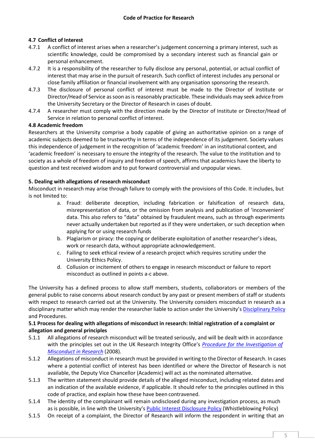# **4.7 Conflict of Interest**

- 4.7.1 A conflict of interest arises when a researcher's judgement concerning a primary interest, such as scientific knowledge, could be compromised by a secondary interest such as financial gain or personal enhancement.
- 4.7.2 It is a responsibility of the researcher to fully disclose any personal, potential, or actual conflict of interest that may arise in the pursuit of research. Such conflict of interest includes any personal or close family affiliation or financial involvement with any organisation sponsoring the research.
- 4.7.3 The disclosure of personal conflict of interest must be made to the Director of Institute or Director/Head of Service as soon as is reasonably practicable. These individuals may seek advice from the University Secretary or the Director of Research in cases of doubt.
- 4.7.4 A researcher must comply with the direction made by the Director of Institute or Director/Head of Service in relation to personal conflict of interest.

# **4.8 Academic freedom**

Researchers at the University comprise a body capable of giving an authoritative opinion on a range of academic subjects deemed to be trustworthy in terms of the independence of its judgement. Society values this independence of judgement in the recognition of 'academic freedom' in an institutional context, and 'academic freedom' is necessary to ensure the integrity of the research. The value to the institution and to society as a whole of freedom of inquiry and freedom of speech, affirms that academics have the liberty to question and test received wisdom and to put forward controversial and unpopular views.

# **5. Dealing with allegations of research misconduct**

Misconduct in research may arise through failure to comply with the provisions of this Code. It includes, but is not limited to:

- a. Fraud: deliberate deception, including fabrication or falsification of research data, misrepresentation of data, or the omission from analysis and publication of 'inconvenient' data. This also refers to "data" obtained by fraudulent means, such as through experiments never actually undertaken but reported as if they were undertaken, or such deception when applying for or using research funds
- b. Plagiarism or piracy: the copying or deliberate exploitation of another researcher's ideas, work or research data, without appropriate acknowledgement.
- c. Failing to seek ethical review of a research project which requires scrutiny under the University Ethics Policy.
- d. Collusion or incitement of others to engage in research misconduct or failure to report misconduct as outlined in points a-c above.

The University has a defined process to allow staff members, students, collaborators or members of the general public to raise concerns about research conduct by any past or present members of staff or students with respect to research carried out at the University. The University considers misconduct in research as a disciplinary matter which may render the researcher liable to action under the University's [Disciplinary Policy](https://unicumbriaac.sharepoint.com/sites/CL/CorporateLibrary/Disciplinary%20Policy.pdf) and Procedures.

# **5.1 Process for dealing with allegations of misconduct in research: Initial registration of a complaint or allegation and general principles**

- 5.1.1 All allegations of research misconduct will be treated seriously, and will be dealt with in accordance with the principles set out in the UK Research Integrity Office's *[Procedure for the Investigation of](https://ukrio.org/publications/misconduct-investigation-procedure/)  [Misconduct in Research](https://ukrio.org/publications/misconduct-investigation-procedure/)* (2008).
- 5.1.2 Allegations of misconduct in research must be provided in writing to the Director of Research. In cases where a potential conflict of interest has been identified or where the Director of Research is not available, the Deputy Vice Chancellor (Academic) will act as the nominated alternative.
- 5.1.3 The written statement should provide details of the alleged misconduct, including related dates and an indication of the available evidence, if applicable. It should refer to the principles outlined in this code of practice, and explain how these have been contravened.
- 5.1.4 The identity of the complainant will remain undisclosed during any investigation process, as much as is possible, in line with the University's **[Public Interest Disclosure Policy](https://unicumbriaac.sharepoint.com/sites/CL/CorporateLibrary/Public%20Interest%20Disclosure%20Policy.pdf)** (Whistleblowing Policy)
- 5.1.5 On receipt of a complaint, the Director of Research will inform the respondent in writing that an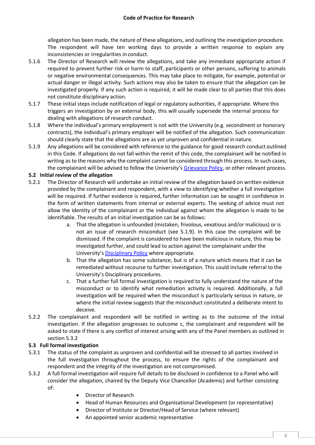allegation has been made, the nature of these allegations, and outlining the investigation procedure. The respondent will have ten working days to provide a written response to explain any inconsistencies or irregularities in conduct.

- 5.1.6 The Director of Research will review the allegations, and take any immediate appropriate action if required to prevent further risk or harm to staff, participants or other persons, suffering to animals or negative environmental consequences. This may take place to mitigate, for example, potential or actual danger or illegal activity. Such actions may also be taken to ensure that the allegation can be investigated properly. If any such action is required, it will be made clear to all parties that this does not constitute disciplinary action.
- 5.1.7 These initial steps include notification of legal or regulatory authorities, if appropriate. Where this triggers an investigation by an external body, this will usually supersede the internal process for dealing with allegations of research conduct.
- 5.1.8 Where the individual's primary employment is not with the University (e.g. secondment or honorary contracts), the individual's primary employer will be notified of the allegation. Such communication should clearly state that the allegations are as yet unproven and confidential in nature.
- 5.1.9 Any allegations will be considered with reference to the guidance for good research conduct outlined in this Code. If allegations do not fall within the remit of this code, the complainant will be notified in writing as to the reasons why the complaint cannot be considered through this process. In such cases, the complainant will be advised to follow the University's [Grievance Policy,](https://unicumbriaac.sharepoint.com/sites/CL/CorporateLibrary/Grievance%20Policy.pdf) or other relevant process.

# **5.2 Initial review of the allegation**

- 5.2.1 The Director of Research will undertake an initial review of the allegation based on written evidence provided by the complainant and respondent, with a view to identifying whether a full investigation will be required. If further evidence is required, further information can be sought in confidence in the form of written statements from internal or external experts. The seeking of advice must not allow the identity of the complainant or the individual against whom the allegation is made to be identifiable. The results of an initial investigation can be as follows:
	- a. That the allegation is unfounded (mistaken, frivolous, vexatious and/or malicious) or is not an issue of research misconduct (see 5.1.9). In this case the complaint will be dismissed. If the complaint is considered to have been malicious in nature, this may be investigated further, and could lead to action against the complainant under the University's [Disciplinary Policy](https://unicumbriaac.sharepoint.com/sites/CL/CorporateLibrary/Disciplinary%20Policy.pdf) where appropriate.
	- b. That the allegation has some substance, but is of a nature which means that it can be remediated without recourse to further investigation. This could include referral to the University's Disciplinary procedures.
	- c. That a further full formal investigation is required to fully understand the nature of the misconduct or to identify what remediation activity is required. Additionally, a full investigation will be required when the misconduct is particularly serious in nature, or where the initial review suggests that the misconduct constituted a deliberate intent to deceive.
- 5.2.2 The complainant and respondent will be notified in writing as to the outcome of the initial investigation. If the allegation progresses to outcome c, the complainant and respondent will be asked to state if there is any conflict of interest arising with any of the Panel members as outlined in section 5.3.2

# **5.3 Full formal investigation**

- 5.3.1 The status of the complaint as unproven and confidential will be stressed to all parties involved in the full investigation throughout the process, to ensure the rights of the complainant and respondent and the integrity of the investigation are not compromised.
- 5.3.2 A full formal investigation will require full details to be disclosed in confidence to a Panel who will consider the allegation, chaired by the Deputy Vice Chancellor (Academic) and further consisting of:
	- Director of Research
	- Head of Human Resources and Organisational Development (or representative)
	- Director of Institute or Director/Head of Service (where relevant)
	- An appointed senior academic representative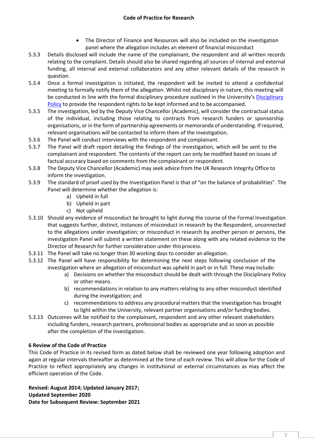# **Code of Practice for Research**

- The Director of Finance and Resources will also be included on the investigation panel where the allegation includes an element of financial misconduct
- 5.3.3 Details disclosed will include the name of the complainant, the respondent and all written records relating to the complaint. Details should also be shared regarding all sources of internal and external funding, all internal and external collaborators and any other relevant details of the research in question.
- 5.3.4 Once a formal investigation is initiated, the respondent will be invited to attend a confidential meeting to formally notify them of the allegation. Whilst not disciplinary in nature, this meeting will be conducted in line with the formal disciplinary procedure outlined in the University's Disciplinary [Policy](https://unicumbriaac.sharepoint.com/sites/CL/CorporateLibrary/Disciplinary%20Policy.pdf) to provide the respondent rights to be kept informed and to be accompanied.
- 5.3.5 The investigation, led by the Deputy Vice Chancellor (Academic), will consider the contractual status of the individual, including those relating to contracts from research funders or sponsorship organisations, or in the form of partnership agreements or memoranda of understanding. If required, relevant organisations will be contacted to inform them of the investigation.
- 5.3.6 The Panel will conduct interviews with the respondent and complainant.
- 5.3.7 The Panel will draft report detailing the findings of the investigation, which will be sent to the complainant and respondent. The contents of the report can only be modified based on issues of factual accuracy based on comments from the complainant or respondent.
- 5.3.8 The Deputy Vice Chancellor (Academic) may seek advice from the UK Research Integrity Office to inform the investigation.
- 5.3.9 The standard of proof used by the Investigation Panel is that of "on the balance of probabilities". The Panel will determine whether the allegation is:
	- a) Upheld in full
	- b) Upheld in part
	- c) Not upheld
- 5.3.10 Should any evidence of misconduct be brought to light during the course of the Formal Investigation that suggests further, distinct, instances of misconduct in research by the Respondent, unconnected to the allegations under investigation; or misconduct in research by another person or persons, the investigation Panel will submit a written statement on these along with any related evidence to the Director of Research for further consideration under thisprocess.
- 5.3.11 The Panel will take no longer than 30 working days to consider an allegation.
- 5.3.12 The Panel will have responsibility for determining the next steps following conclusion of the investigation where an allegation of misconduct was upheld in part or in full. These may include:
	- a) Decisions on whether the misconduct should be dealt with through the Disciplinary Policy or other means.
	- b) recommendations in relation to any matters relating to any other misconduct identified during the investigation; and
	- c) recommendations to address any procedural matters that the investigation has brought to light within the University, relevant partner organisations and/or funding bodies.
- 5.3.13 Outcomes will be notified to the complainant, respondent and any other relevant stakeholders including funders, research partners, professional bodies as appropriate and as soon as possible after the completion of the investigation.

# **6 Review of the Code of Practice**

This Code of Practice in its revised form as dated below shall be reviewed one year following adoption and again at regular intervals thereafter as determined at the time of each review. This will allow for the Code of Practice to reflect appropriately any changes in institutional or external circumstances as may affect the efficient operation of the Code.

**Revised: August 2014; Updated January 2017; Updated September 2020 Date for Subsequent Review: September 2021**